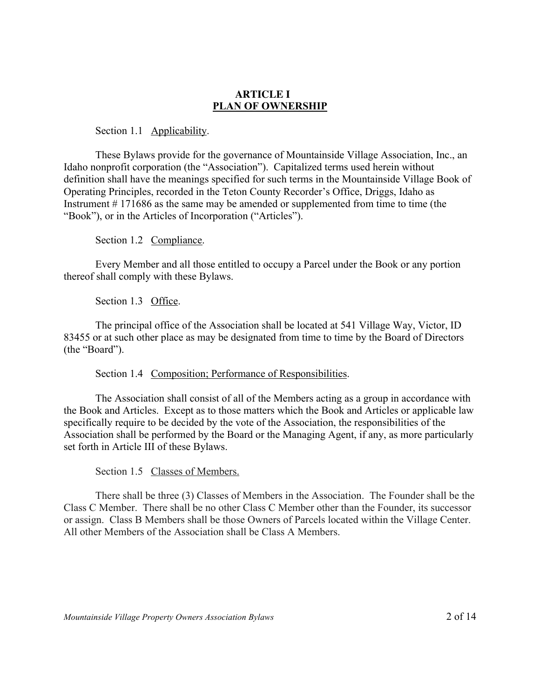### **ARTICLE I PLAN OF OWNERSHIP**

Section 1.1 Applicability.

These Bylaws provide for the governance of Mountainside Village Association, Inc., an Idaho nonprofit corporation (the "Association"). Capitalized terms used herein without definition shall have the meanings specified for such terms in the Mountainside Village Book of Operating Principles, recorded in the Teton County Recorder's Office, Driggs, Idaho as Instrument # 171686 as the same may be amended or supplemented from time to time (the "Book"), or in the Articles of Incorporation ("Articles").

Section 1.2 Compliance.

Every Member and all those entitled to occupy a Parcel under the Book or any portion thereof shall comply with these Bylaws.

Section 1.3 Office.

The principal office of the Association shall be located at 541 Village Way, Victor, ID 83455 or at such other place as may be designated from time to time by the Board of Directors (the "Board").

Section 1.4 Composition; Performance of Responsibilities.

The Association shall consist of all of the Members acting as a group in accordance with the Book and Articles. Except as to those matters which the Book and Articles or applicable law specifically require to be decided by the vote of the Association, the responsibilities of the Association shall be performed by the Board or the Managing Agent, if any, as more particularly set forth in Article III of these Bylaws.

Section 1.5 Classes of Members.

There shall be three (3) Classes of Members in the Association. The Founder shall be the Class C Member. There shall be no other Class C Member other than the Founder, its successor or assign. Class B Members shall be those Owners of Parcels located within the Village Center. All other Members of the Association shall be Class A Members.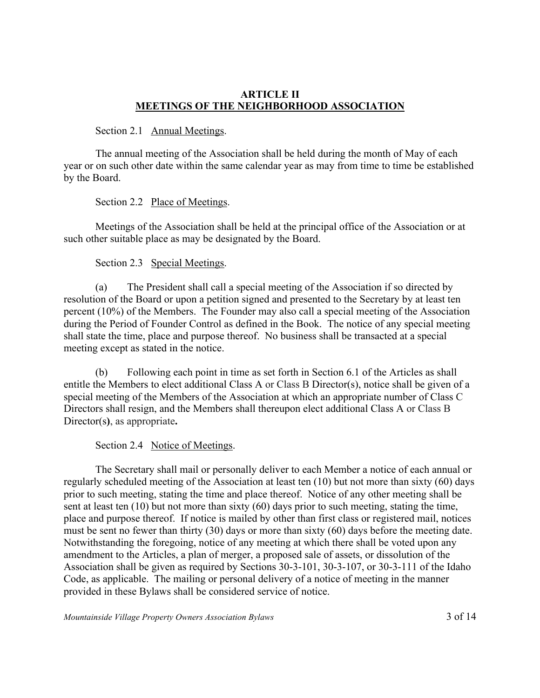### **ARTICLE II MEETINGS OF THE NEIGHBORHOOD ASSOCIATION**

Section 2.1 Annual Meetings.

The annual meeting of the Association shall be held during the month of May of each year or on such other date within the same calendar year as may from time to time be established by the Board.

Section 2.2 Place of Meetings.

Meetings of the Association shall be held at the principal office of the Association or at such other suitable place as may be designated by the Board.

## Section 2.3 Special Meetings.

(a) The President shall call a special meeting of the Association if so directed by resolution of the Board or upon a petition signed and presented to the Secretary by at least ten percent (10%) of the Members. The Founder may also call a special meeting of the Association during the Period of Founder Control as defined in the Book. The notice of any special meeting shall state the time, place and purpose thereof. No business shall be transacted at a special meeting except as stated in the notice.

(b) Following each point in time as set forth in Section 6.1 of the Articles as shall entitle the Members to elect additional Class A or Class B Director(s), notice shall be given of a special meeting of the Members of the Association at which an appropriate number of Class C Directors shall resign, and the Members shall thereupon elect additional Class A or Class B Director(s**)**, as appropriate**.**

# Section 2.4 Notice of Meetings.

The Secretary shall mail or personally deliver to each Member a notice of each annual or regularly scheduled meeting of the Association at least ten (10) but not more than sixty (60) days prior to such meeting, stating the time and place thereof. Notice of any other meeting shall be sent at least ten (10) but not more than sixty (60) days prior to such meeting, stating the time, place and purpose thereof. If notice is mailed by other than first class or registered mail, notices must be sent no fewer than thirty (30) days or more than sixty (60) days before the meeting date. Notwithstanding the foregoing, notice of any meeting at which there shall be voted upon any amendment to the Articles, a plan of merger, a proposed sale of assets, or dissolution of the Association shall be given as required by Sections 30-3-101, 30-3-107, or 30-3-111 of the Idaho Code, as applicable. The mailing or personal delivery of a notice of meeting in the manner provided in these Bylaws shall be considered service of notice.

*Mountainside Village Property Owners Association Bylaws* 3 of 14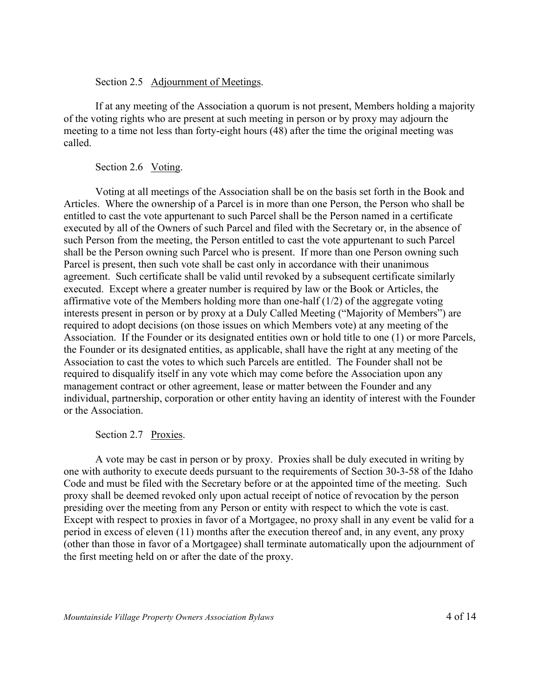#### Section 2.5 Adjournment of Meetings.

If at any meeting of the Association a quorum is not present, Members holding a majority of the voting rights who are present at such meeting in person or by proxy may adjourn the meeting to a time not less than forty-eight hours (48) after the time the original meeting was called.

## Section 2.6 Voting.

Voting at all meetings of the Association shall be on the basis set forth in the Book and Articles. Where the ownership of a Parcel is in more than one Person, the Person who shall be entitled to cast the vote appurtenant to such Parcel shall be the Person named in a certificate executed by all of the Owners of such Parcel and filed with the Secretary or, in the absence of such Person from the meeting, the Person entitled to cast the vote appurtenant to such Parcel shall be the Person owning such Parcel who is present. If more than one Person owning such Parcel is present, then such vote shall be cast only in accordance with their unanimous agreement. Such certificate shall be valid until revoked by a subsequent certificate similarly executed. Except where a greater number is required by law or the Book or Articles, the affirmative vote of the Members holding more than one-half (1/2) of the aggregate voting interests present in person or by proxy at a Duly Called Meeting ("Majority of Members") are required to adopt decisions (on those issues on which Members vote) at any meeting of the Association. If the Founder or its designated entities own or hold title to one (1) or more Parcels, the Founder or its designated entities, as applicable, shall have the right at any meeting of the Association to cast the votes to which such Parcels are entitled. The Founder shall not be required to disqualify itself in any vote which may come before the Association upon any management contract or other agreement, lease or matter between the Founder and any individual, partnership, corporation or other entity having an identity of interest with the Founder or the Association.

### Section 2.7 Proxies.

A vote may be cast in person or by proxy. Proxies shall be duly executed in writing by one with authority to execute deeds pursuant to the requirements of Section 30-3-58 of the Idaho Code and must be filed with the Secretary before or at the appointed time of the meeting. Such proxy shall be deemed revoked only upon actual receipt of notice of revocation by the person presiding over the meeting from any Person or entity with respect to which the vote is cast. Except with respect to proxies in favor of a Mortgagee, no proxy shall in any event be valid for a period in excess of eleven (11) months after the execution thereof and, in any event, any proxy (other than those in favor of a Mortgagee) shall terminate automatically upon the adjournment of the first meeting held on or after the date of the proxy.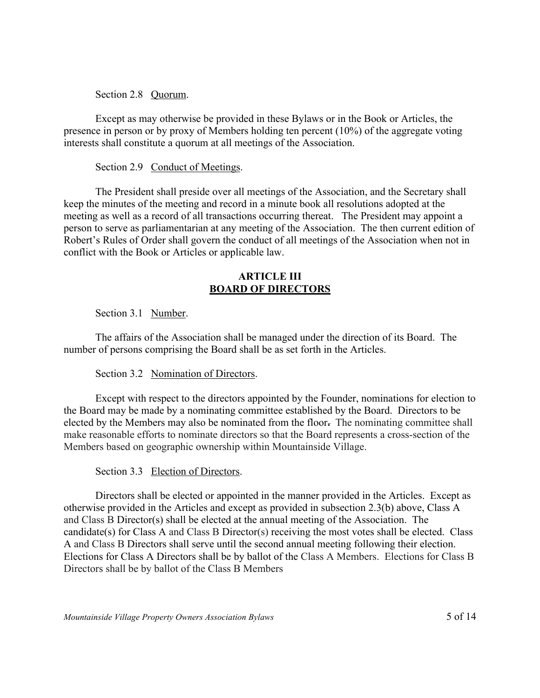Section 2.8 Quorum.

Except as may otherwise be provided in these Bylaws or in the Book or Articles, the presence in person or by proxy of Members holding ten percent (10%) of the aggregate voting interests shall constitute a quorum at all meetings of the Association.

## Section 2.9 Conduct of Meetings.

The President shall preside over all meetings of the Association, and the Secretary shall keep the minutes of the meeting and record in a minute book all resolutions adopted at the meeting as well as a record of all transactions occurring thereat. The President may appoint a person to serve as parliamentarian at any meeting of the Association. The then current edition of Robert's Rules of Order shall govern the conduct of all meetings of the Association when not in conflict with the Book or Articles or applicable law.

### **ARTICLE III BOARD OF DIRECTORS**

# Section 3.1 Number.

The affairs of the Association shall be managed under the direction of its Board. The number of persons comprising the Board shall be as set forth in the Articles.

# Section 3.2 Nomination of Directors.

Except with respect to the directors appointed by the Founder, nominations for election to the Board may be made by a nominating committee established by the Board. Directors to be elected by the Members may also be nominated from the floor**.** The nominating committee shall make reasonable efforts to nominate directors so that the Board represents a cross-section of the Members based on geographic ownership within Mountainside Village.

# Section 3.3 Election of Directors.

Directors shall be elected or appointed in the manner provided in the Articles. Except as otherwise provided in the Articles and except as provided in subsection 2.3(b) above, Class A and Class B Director(s) shall be elected at the annual meeting of the Association. The candidate(s) for Class A and Class B Director(s) receiving the most votes shall be elected. Class A and Class B Directors shall serve until the second annual meeting following their election. Elections for Class A Directors shall be by ballot of the Class A Members. Elections for Class B Directors shall be by ballot of the Class B Members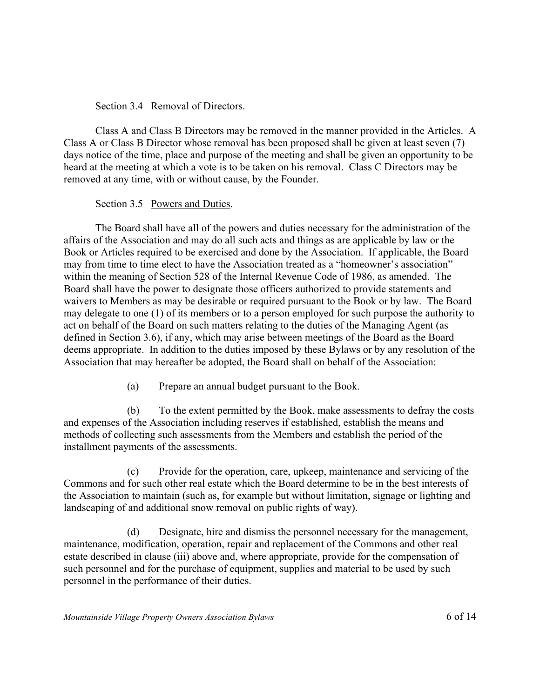## Section 3.4 Removal of Directors.

Class A and Class B Directors may be removed in the manner provided in the Articles. A Class A or Class B Director whose removal has been proposed shall be given at least seven (7) days notice of the time, place and purpose of the meeting and shall be given an opportunity to be heard at the meeting at which a vote is to be taken on his removal. Class C Directors may be removed at any time, with or without cause, by the Founder.

## Section 3.5 Powers and Duties.

The Board shall have all of the powers and duties necessary for the administration of the affairs of the Association and may do all such acts and things as are applicable by law or the Book or Articles required to be exercised and done by the Association. If applicable, the Board may from time to time elect to have the Association treated as a "homeowner's association" within the meaning of Section 528 of the Internal Revenue Code of 1986, as amended. The Board shall have the power to designate those officers authorized to provide statements and waivers to Members as may be desirable or required pursuant to the Book or by law. The Board may delegate to one (1) of its members or to a person employed for such purpose the authority to act on behalf of the Board on such matters relating to the duties of the Managing Agent (as defined in Section 3.6), if any, which may arise between meetings of the Board as the Board deems appropriate. In addition to the duties imposed by these Bylaws or by any resolution of the Association that may hereafter be adopted, the Board shall on behalf of the Association:

(a) Prepare an annual budget pursuant to the Book.

(b) To the extent permitted by the Book, make assessments to defray the costs and expenses of the Association including reserves if established, establish the means and methods of collecting such assessments from the Members and establish the period of the installment payments of the assessments.

(c) Provide for the operation, care, upkeep, maintenance and servicing of the Commons and for such other real estate which the Board determine to be in the best interests of the Association to maintain (such as, for example but without limitation, signage or lighting and landscaping of and additional snow removal on public rights of way).

(d) Designate, hire and dismiss the personnel necessary for the management, maintenance, modification, operation, repair and replacement of the Commons and other real estate described in clause (iii) above and, where appropriate, provide for the compensation of such personnel and for the purchase of equipment, supplies and material to be used by such personnel in the performance of their duties.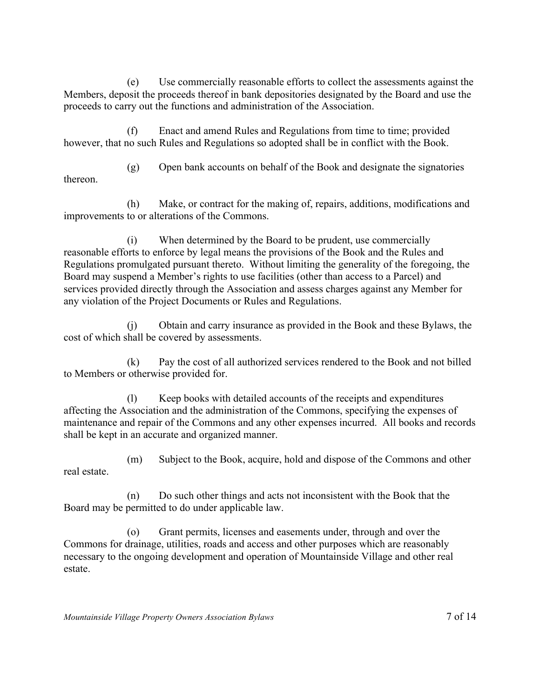(e) Use commercially reasonable efforts to collect the assessments against the Members, deposit the proceeds thereof in bank depositories designated by the Board and use the proceeds to carry out the functions and administration of the Association.

(f) Enact and amend Rules and Regulations from time to time; provided however, that no such Rules and Regulations so adopted shall be in conflict with the Book.

(g) Open bank accounts on behalf of the Book and designate the signatories thereon.

(h) Make, or contract for the making of, repairs, additions, modifications and improvements to or alterations of the Commons.

(i) When determined by the Board to be prudent, use commercially reasonable efforts to enforce by legal means the provisions of the Book and the Rules and Regulations promulgated pursuant thereto. Without limiting the generality of the foregoing, the Board may suspend a Member's rights to use facilities (other than access to a Parcel) and services provided directly through the Association and assess charges against any Member for any violation of the Project Documents or Rules and Regulations.

(j) Obtain and carry insurance as provided in the Book and these Bylaws, the cost of which shall be covered by assessments.

(k) Pay the cost of all authorized services rendered to the Book and not billed to Members or otherwise provided for.

(l) Keep books with detailed accounts of the receipts and expenditures affecting the Association and the administration of the Commons, specifying the expenses of maintenance and repair of the Commons and any other expenses incurred. All books and records shall be kept in an accurate and organized manner.

(m) Subject to the Book, acquire, hold and dispose of the Commons and other real estate.

(n) Do such other things and acts not inconsistent with the Book that the Board may be permitted to do under applicable law.

(o) Grant permits, licenses and easements under, through and over the Commons for drainage, utilities, roads and access and other purposes which are reasonably necessary to the ongoing development and operation of Mountainside Village and other real estate.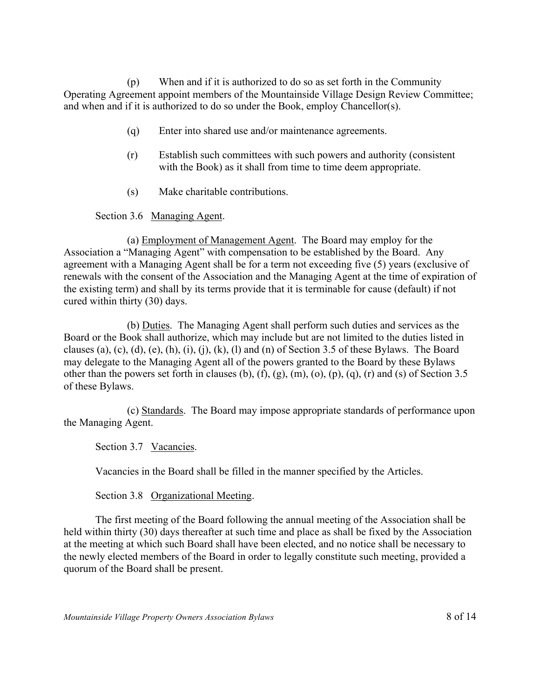(p) When and if it is authorized to do so as set forth in the Community Operating Agreement appoint members of the Mountainside Village Design Review Committee; and when and if it is authorized to do so under the Book, employ Chancellor(s).

- (q) Enter into shared use and/or maintenance agreements.
- (r) Establish such committees with such powers and authority (consistent with the Book) as it shall from time to time deem appropriate.
- (s) Make charitable contributions.

Section 3.6 Managing Agent.

(a) Employment of Management Agent. The Board may employ for the Association a "Managing Agent" with compensation to be established by the Board. Any agreement with a Managing Agent shall be for a term not exceeding five (5) years (exclusive of renewals with the consent of the Association and the Managing Agent at the time of expiration of the existing term) and shall by its terms provide that it is terminable for cause (default) if not cured within thirty (30) days.

(b) Duties. The Managing Agent shall perform such duties and services as the Board or the Book shall authorize, which may include but are not limited to the duties listed in clauses (a), (c), (d), (e), (h), (i), (j), (k), (l) and (n) of Section 3.5 of these Bylaws. The Board may delegate to the Managing Agent all of the powers granted to the Board by these Bylaws other than the powers set forth in clauses (b), (f), (g), (m), (o), (p), (q), (r) and (s) of Section 3.5 of these Bylaws.

(c) Standards. The Board may impose appropriate standards of performance upon the Managing Agent.

Section 3.7 Vacancies.

Vacancies in the Board shall be filled in the manner specified by the Articles.

Section 3.8 Organizational Meeting.

The first meeting of the Board following the annual meeting of the Association shall be held within thirty (30) days thereafter at such time and place as shall be fixed by the Association at the meeting at which such Board shall have been elected, and no notice shall be necessary to the newly elected members of the Board in order to legally constitute such meeting, provided a quorum of the Board shall be present.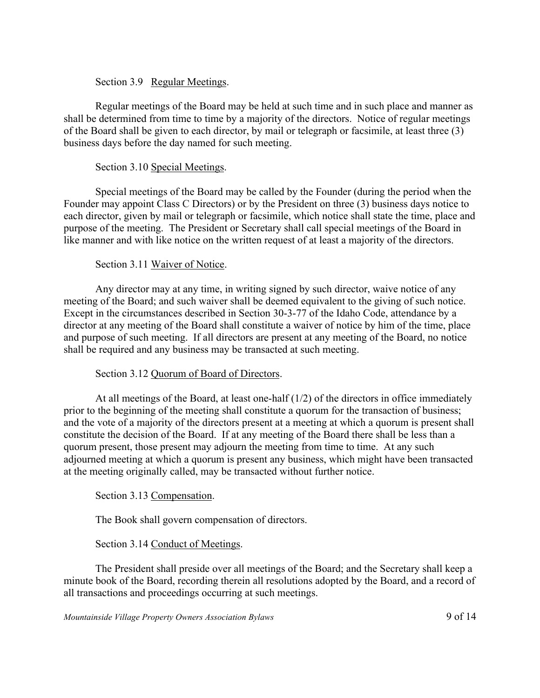### Section 3.9 Regular Meetings.

Regular meetings of the Board may be held at such time and in such place and manner as shall be determined from time to time by a majority of the directors. Notice of regular meetings of the Board shall be given to each director, by mail or telegraph or facsimile, at least three (3) business days before the day named for such meeting.

# Section 3.10 Special Meetings.

Special meetings of the Board may be called by the Founder (during the period when the Founder may appoint Class C Directors) or by the President on three (3) business days notice to each director, given by mail or telegraph or facsimile, which notice shall state the time, place and purpose of the meeting. The President or Secretary shall call special meetings of the Board in like manner and with like notice on the written request of at least a majority of the directors.

## Section 3.11 Waiver of Notice.

Any director may at any time, in writing signed by such director, waive notice of any meeting of the Board; and such waiver shall be deemed equivalent to the giving of such notice. Except in the circumstances described in Section 30-3-77 of the Idaho Code, attendance by a director at any meeting of the Board shall constitute a waiver of notice by him of the time, place and purpose of such meeting. If all directors are present at any meeting of the Board, no notice shall be required and any business may be transacted at such meeting.

# Section 3.12 Quorum of Board of Directors.

At all meetings of the Board, at least one-half (1/2) of the directors in office immediately prior to the beginning of the meeting shall constitute a quorum for the transaction of business; and the vote of a majority of the directors present at a meeting at which a quorum is present shall constitute the decision of the Board. If at any meeting of the Board there shall be less than a quorum present, those present may adjourn the meeting from time to time. At any such adjourned meeting at which a quorum is present any business, which might have been transacted at the meeting originally called, may be transacted without further notice.

### Section 3.13 Compensation.

The Book shall govern compensation of directors.

Section 3.14 Conduct of Meetings.

The President shall preside over all meetings of the Board; and the Secretary shall keep a minute book of the Board, recording therein all resolutions adopted by the Board, and a record of all transactions and proceedings occurring at such meetings.

*Mountainside Village Property Owners Association Bylaws* 9 of 14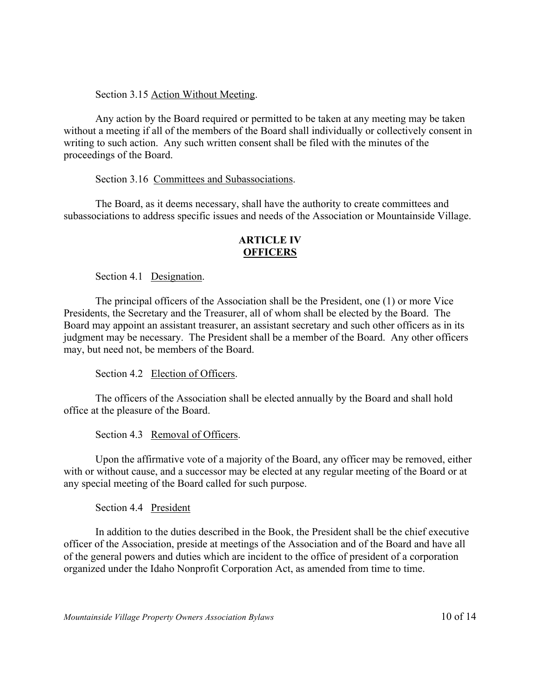## Section 3.15 Action Without Meeting.

Any action by the Board required or permitted to be taken at any meeting may be taken without a meeting if all of the members of the Board shall individually or collectively consent in writing to such action. Any such written consent shall be filed with the minutes of the proceedings of the Board.

### Section 3.16 Committees and Subassociations.

The Board, as it deems necessary, shall have the authority to create committees and subassociations to address specific issues and needs of the Association or Mountainside Village.

## **ARTICLE IV OFFICERS**

Section 4.1 Designation.

The principal officers of the Association shall be the President, one (1) or more Vice Presidents, the Secretary and the Treasurer, all of whom shall be elected by the Board. The Board may appoint an assistant treasurer, an assistant secretary and such other officers as in its judgment may be necessary. The President shall be a member of the Board. Any other officers may, but need not, be members of the Board.

Section 4.2 Election of Officers.

The officers of the Association shall be elected annually by the Board and shall hold office at the pleasure of the Board.

Section 4.3 Removal of Officers.

Upon the affirmative vote of a majority of the Board, any officer may be removed, either with or without cause, and a successor may be elected at any regular meeting of the Board or at any special meeting of the Board called for such purpose.

Section 4.4 President

In addition to the duties described in the Book, the President shall be the chief executive officer of the Association, preside at meetings of the Association and of the Board and have all of the general powers and duties which are incident to the office of president of a corporation organized under the Idaho Nonprofit Corporation Act, as amended from time to time.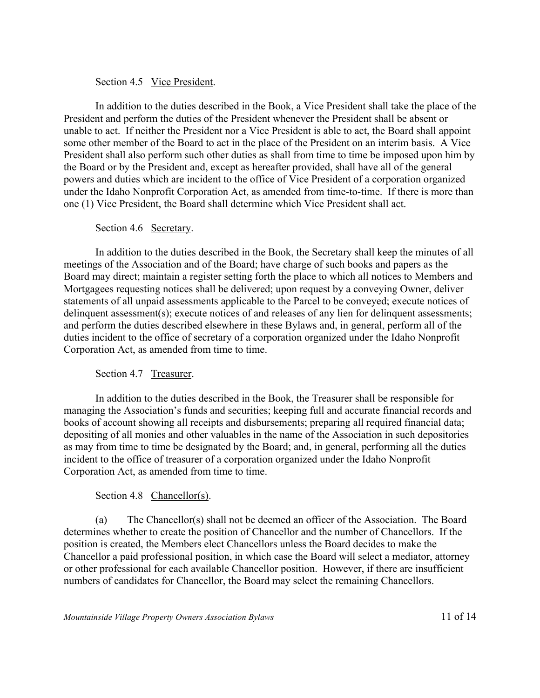#### Section 4.5 Vice President.

In addition to the duties described in the Book, a Vice President shall take the place of the President and perform the duties of the President whenever the President shall be absent or unable to act. If neither the President nor a Vice President is able to act, the Board shall appoint some other member of the Board to act in the place of the President on an interim basis. A Vice President shall also perform such other duties as shall from time to time be imposed upon him by the Board or by the President and, except as hereafter provided, shall have all of the general powers and duties which are incident to the office of Vice President of a corporation organized under the Idaho Nonprofit Corporation Act, as amended from time-to-time. If there is more than one (1) Vice President, the Board shall determine which Vice President shall act.

#### Section 4.6 Secretary.

In addition to the duties described in the Book, the Secretary shall keep the minutes of all meetings of the Association and of the Board; have charge of such books and papers as the Board may direct; maintain a register setting forth the place to which all notices to Members and Mortgagees requesting notices shall be delivered; upon request by a conveying Owner, deliver statements of all unpaid assessments applicable to the Parcel to be conveyed; execute notices of delinquent assessment(s); execute notices of and releases of any lien for delinquent assessments; and perform the duties described elsewhere in these Bylaws and, in general, perform all of the duties incident to the office of secretary of a corporation organized under the Idaho Nonprofit Corporation Act, as amended from time to time.

### Section 4.7 Treasurer.

In addition to the duties described in the Book, the Treasurer shall be responsible for managing the Association's funds and securities; keeping full and accurate financial records and books of account showing all receipts and disbursements; preparing all required financial data; depositing of all monies and other valuables in the name of the Association in such depositories as may from time to time be designated by the Board; and, in general, performing all the duties incident to the office of treasurer of a corporation organized under the Idaho Nonprofit Corporation Act, as amended from time to time.

### Section 4.8 Chancellor(s).

(a) The Chancellor(s) shall not be deemed an officer of the Association. The Board determines whether to create the position of Chancellor and the number of Chancellors. If the position is created, the Members elect Chancellors unless the Board decides to make the Chancellor a paid professional position, in which case the Board will select a mediator, attorney or other professional for each available Chancellor position. However, if there are insufficient numbers of candidates for Chancellor, the Board may select the remaining Chancellors.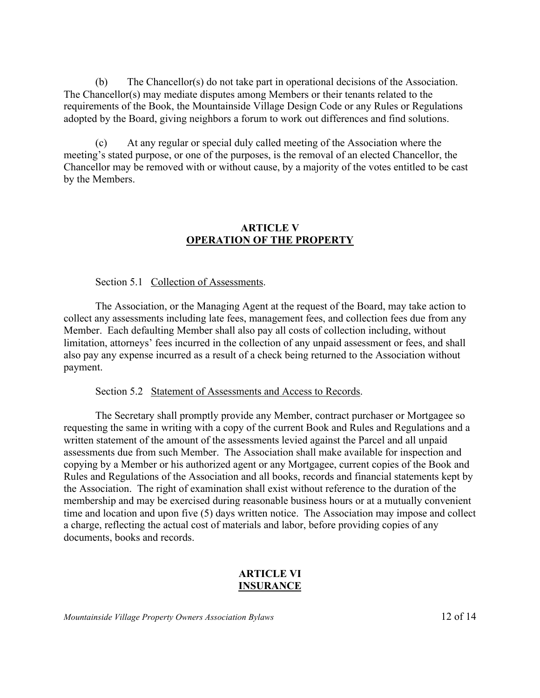(b) The Chancellor(s) do not take part in operational decisions of the Association. The Chancellor(s) may mediate disputes among Members or their tenants related to the requirements of the Book, the Mountainside Village Design Code or any Rules or Regulations adopted by the Board, giving neighbors a forum to work out differences and find solutions.

(c) At any regular or special duly called meeting of the Association where the meeting's stated purpose, or one of the purposes, is the removal of an elected Chancellor, the Chancellor may be removed with or without cause, by a majority of the votes entitled to be cast by the Members.

## **ARTICLE V OPERATION OF THE PROPERTY**

Section 5.1 Collection of Assessments.

The Association, or the Managing Agent at the request of the Board, may take action to collect any assessments including late fees, management fees, and collection fees due from any Member. Each defaulting Member shall also pay all costs of collection including, without limitation, attorneys' fees incurred in the collection of any unpaid assessment or fees, and shall also pay any expense incurred as a result of a check being returned to the Association without payment.

Section 5.2 Statement of Assessments and Access to Records.

The Secretary shall promptly provide any Member, contract purchaser or Mortgagee so requesting the same in writing with a copy of the current Book and Rules and Regulations and a written statement of the amount of the assessments levied against the Parcel and all unpaid assessments due from such Member. The Association shall make available for inspection and copying by a Member or his authorized agent or any Mortgagee, current copies of the Book and Rules and Regulations of the Association and all books, records and financial statements kept by the Association. The right of examination shall exist without reference to the duration of the membership and may be exercised during reasonable business hours or at a mutually convenient time and location and upon five (5) days written notice. The Association may impose and collect a charge, reflecting the actual cost of materials and labor, before providing copies of any documents, books and records.

# **ARTICLE VI INSURANCE**

*Mountainside Village Property Owners Association Bylaws* 12 of 14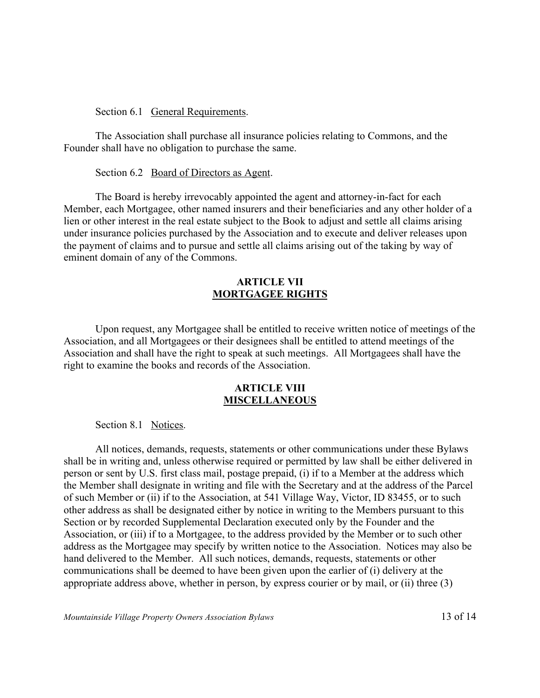Section 6.1 General Requirements.

The Association shall purchase all insurance policies relating to Commons, and the Founder shall have no obligation to purchase the same.

Section 6.2 <u>Board of Directors as Agent</u>.

The Board is hereby irrevocably appointed the agent and attorney-in-fact for each Member, each Mortgagee, other named insurers and their beneficiaries and any other holder of a lien or other interest in the real estate subject to the Book to adjust and settle all claims arising under insurance policies purchased by the Association and to execute and deliver releases upon the payment of claims and to pursue and settle all claims arising out of the taking by way of eminent domain of any of the Commons.

### **ARTICLE VII MORTGAGEE RIGHTS**

Upon request, any Mortgagee shall be entitled to receive written notice of meetings of the Association, and all Mortgagees or their designees shall be entitled to attend meetings of the Association and shall have the right to speak at such meetings. All Mortgagees shall have the right to examine the books and records of the Association.

#### **ARTICLE VIII MISCELLANEOUS**

Section 8.1 Notices.

All notices, demands, requests, statements or other communications under these Bylaws shall be in writing and, unless otherwise required or permitted by law shall be either delivered in person or sent by U.S. first class mail, postage prepaid, (i) if to a Member at the address which the Member shall designate in writing and file with the Secretary and at the address of the Parcel of such Member or (ii) if to the Association, at 541 Village Way, Victor, ID 83455, or to such other address as shall be designated either by notice in writing to the Members pursuant to this Section or by recorded Supplemental Declaration executed only by the Founder and the Association, or (iii) if to a Mortgagee, to the address provided by the Member or to such other address as the Mortgagee may specify by written notice to the Association. Notices may also be hand delivered to the Member. All such notices, demands, requests, statements or other communications shall be deemed to have been given upon the earlier of (i) delivery at the appropriate address above, whether in person, by express courier or by mail, or (ii) three (3)

*Mountainside Village Property Owners Association Bylaws* 13 of 14